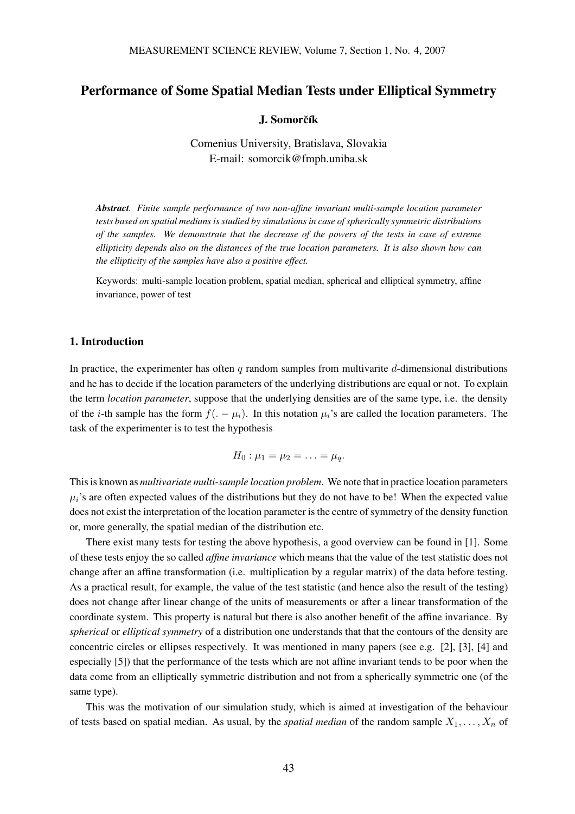# Performance of Some Spatial Median Tests under Elliptical Symmetry

#### J. Somorčík

Comenius University, Bratislava, Slovakia E-mail: somorcik@fmph.uniba.sk

*Abstract. Finite sample performance of two non-affine invariant multi-sample location parameter tests based on spatial medians is studied by simulations in case of spherically symmetric distributions of the samples. We demonstrate that the decrease of the powers of the tests in case of extreme ellipticity depends also on the distances of the true location parameters. It is also shown how can the ellipticity of the samples have also a positive effect.*

Keywords: multi-sample location problem, spatial median, spherical and elliptical symmetry, affine invariance, power of test

#### 1. Introduction

In practice, the experimenter has often q random samples from multivarite d-dimensional distributions and he has to decide if the location parameters of the underlying distributions are equal or not. To explain the term *location parameter*, suppose that the underlying densities are of the same type, i.e. the density of the *i*-th sample has the form  $f(-\mu_i)$ . In this notation  $\mu_i$ 's are called the location parameters. The task of the experimenter is to test the hypothesis

$$
H_0: \mu_1=\mu_2=\ldots=\mu_q.
$$

This is known as *multivariate multi-sample location problem*. We note that in practice location parameters  $\mu_i$ 's are often expected values of the distributions but they do not have to be! When the expected value does not exist the interpretation of the location parameter is the centre of symmetry of the density function or, more generally, the spatial median of the distribution etc.

There exist many tests for testing the above hypothesis, a good overview can be found in [1]. Some of these tests enjoy the so called *affine invariance* which means that the value of the test statistic does not change after an affine transformation (i.e. multiplication by a regular matrix) of the data before testing. As a practical result, for example, the value of the test statistic (and hence also the result of the testing) does not change after linear change of the units of measurements or after a linear transformation of the coordinate system. This property is natural but there is also another benefit of the affine invariance. By *spherical* or *elliptical symmetry* of a distribution one understands that that the contours of the density are concentric circles or ellipses respectively. It was mentioned in many papers (see e.g. [2], [3], [4] and especially [5]) that the performance of the tests which are not affine invariant tends to be poor when the data come from an elliptically symmetric distribution and not from a spherically symmetric one (of the same type).

This was the motivation of our simulation study, which is aimed at investigation of the behaviour of tests based on spatial median. As usual, by the *spatial median* of the random sample  $X_1, \ldots, X_n$  of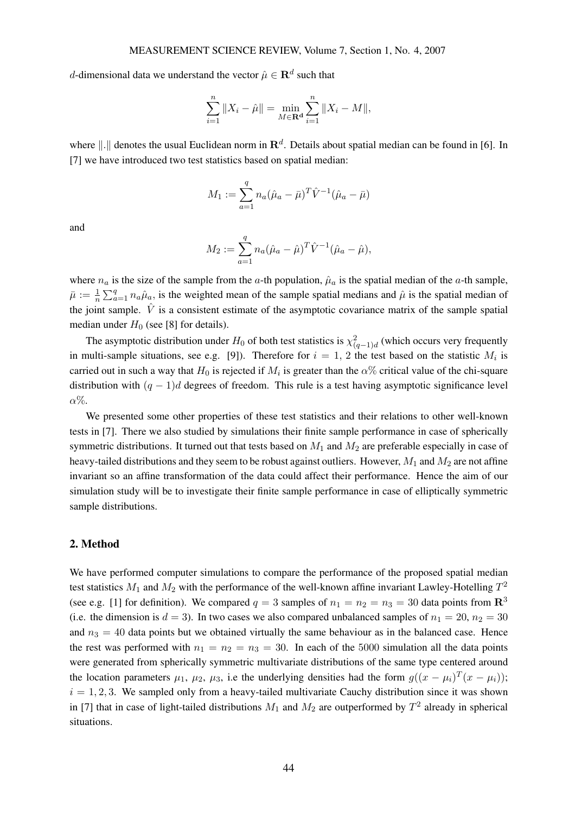d-dimensional data we understand the vector  $\hat{\mu} \in \mathbf{R}^d$  such that

$$
\sum_{i=1}^{n} \|X_i - \hat{\mu}\| = \min_{M \in \mathbf{R}^d} \sum_{i=1}^{n} \|X_i - M\|,
$$

where  $\|.\|$  denotes the usual Euclidean norm in  $\mathbb{R}^d$ . Details about spatial median can be found in [6]. In [7] we have introduced two test statistics based on spatial median:

$$
M_1 := \sum_{a=1}^q n_a (\hat{\mu}_a - \bar{\mu})^T \hat{V}^{-1} (\hat{\mu}_a - \bar{\mu})
$$

and

$$
M_2 := \sum_{a=1}^q n_a (\hat{\mu}_a - \hat{\mu})^T \hat{V}^{-1} (\hat{\mu}_a - \hat{\mu}),
$$

where  $n_a$  is the size of the sample from the a-th population,  $\hat{\mu}_a$  is the spatial median of the a-th sample,  $\bar{\mu} := \frac{1}{n}$  $\sum_{a=1}^{q} n_a \hat{\mu}_a$ , is the weighted mean of the sample spatial medians and  $\hat{\mu}$  is the spatial median of  $\sum_{a=1}^{q} n_a \hat{\mu}_a$ , is the weighted mean of the sample spatial medians and  $\hat{\mu}$  is the spatial median of the joint sample.  $\hat{V}$  is a consistent estimate of the asymptotic covariance matrix of the sample spatial median under  $H_0$  (see [8] for details).

The asymptotic distribution under  $H_0$  of both test statistics is  $\chi^2_{(q-1)d}$  (which occurs very frequently in multi-sample situations, see e.g. [9]). Therefore for  $i = 1, 2$  the test based on the statistic  $M_i$  is carried out in such a way that  $H_0$  is rejected if  $M_i$  is greater than the  $\alpha\%$  critical value of the chi-square distribution with  $(q - 1)d$  degrees of freedom. This rule is a test having asymptotic significance level  $\alpha\%$ .

We presented some other properties of these test statistics and their relations to other well-known tests in [7]. There we also studied by simulations their finite sample performance in case of spherically symmetric distributions. It turned out that tests based on  $M_1$  and  $M_2$  are preferable especially in case of heavy-tailed distributions and they seem to be robust against outliers. However,  $M_1$  and  $M_2$  are not affine invariant so an affine transformation of the data could affect their performance. Hence the aim of our simulation study will be to investigate their finite sample performance in case of elliptically symmetric sample distributions.

## 2. Method

We have performed computer simulations to compare the performance of the proposed spatial median test statistics  $M_1$  and  $M_2$  with the performance of the well-known affine invariant Lawley-Hotelling  $T^2$ (see e.g. [1] for definition). We compared  $q = 3$  samples of  $n_1 = n_2 = n_3 = 30$  data points from  $\mathbb{R}^3$ (i.e. the dimension is  $d = 3$ ). In two cases we also compared unbalanced samples of  $n_1 = 20$ ,  $n_2 = 30$ and  $n_3 = 40$  data points but we obtained virtually the same behaviour as in the balanced case. Hence the rest was performed with  $n_1 = n_2 = n_3 = 30$ . In each of the 5000 simulation all the data points were generated from spherically symmetric multivariate distributions of the same type centered around the location parameters  $\mu_1$ ,  $\mu_2$ ,  $\mu_3$ , i.e the underlying densities had the form  $g((x - \mu_i)^T(x - \mu_i));$  $i = 1, 2, 3$ . We sampled only from a heavy-tailed multivariate Cauchy distribution since it was shown in [7] that in case of light-tailed distributions  $M_1$  and  $M_2$  are outperformed by  $T^2$  already in spherical situations.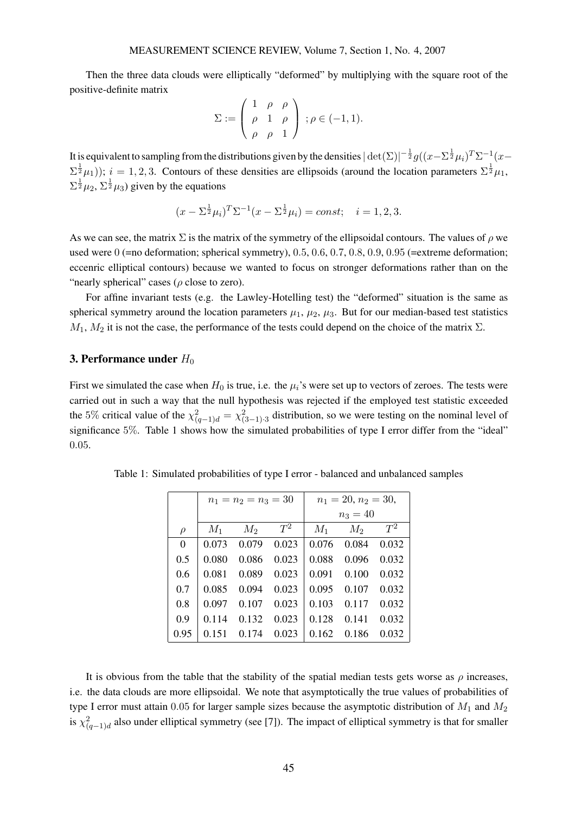Then the three data clouds were elliptically "deformed" by multiplying with the square root of the positive-definite matrix  $\overline{\phantom{a}}$  $\mathbf{r}$ 

$$
\Sigma := \left( \begin{array}{ccc} 1 & \rho & \rho \\ \rho & 1 & \rho \\ \rho & \rho & 1 \end{array} \right) ; \rho \in (-1, 1).
$$

It is equivalent to sampling from the distributions given by the densities  $|\det(\Sigma)|^{-\frac{1}{2}}g((x-\Sigma^{\frac{1}{2}}\mu_i)^T\Sigma^{-1}(x-\Sigma^{\frac{1}{2}}\mu_i)^T\Sigma^{-1}(x-\Sigma^{\frac{1}{2}}\mu_i)^T\Sigma^{-1}(x-\Sigma^{\frac{1}{2}}\mu_i)^T\Sigma^{-1}(x-\Sigma^{\frac{1}{2}}\mu_i)^T\Sigma^{-1}(x-\Sigma^{\frac{1}{2}}\mu_i)^T\Sigma^{-1}(x-\Sigma^$  $(\Sigma^{\frac{1}{2}}\mu_1)$ );  $i=1,2,3$ . Contours of these densities are ellipsoids (around the location parameters  $\Sigma^{\frac{1}{2}}\mu_1$ ,  $\Sigma^{\frac{1}{2}}\mu_2$ ,  $\Sigma^{\frac{1}{2}}\mu_3$ ) given by the equations

$$
(x - \Sigma^{\frac{1}{2}}\mu_i)^T \Sigma^{-1} (x - \Sigma^{\frac{1}{2}}\mu_i) = const; \quad i = 1, 2, 3.
$$

As we can see, the matrix  $\Sigma$  is the matrix of the symmetry of the ellipsoidal contours. The values of  $\rho$  we used were 0 (=no deformation; spherical symmetry), 0.5, 0.6, 0.7, 0.8, 0.9, 0.95 (=extreme deformation; eccenric elliptical contours) because we wanted to focus on stronger deformations rather than on the "nearly spherical" cases ( $\rho$  close to zero).

For affine invariant tests (e.g. the Lawley-Hotelling test) the "deformed" situation is the same as spherical symmetry around the location parameters  $\mu_1$ ,  $\mu_2$ ,  $\mu_3$ . But for our median-based test statistics  $M_1$ ,  $M_2$  it is not the case, the performance of the tests could depend on the choice of the matrix  $\Sigma$ .

## **3. Performance under**  $H_0$

First we simulated the case when  $H_0$  is true, i.e. the  $\mu_i$ 's were set up to vectors of zeroes. The tests were carried out in such a way that the null hypothesis was rejected if the employed test statistic exceeded the 5% critical value of the  $\chi^2_{(q-1)d} = \chi^2_{(3-1)\cdot 3}$  distribution, so we were testing on the nominal level of significance 5%. Table 1 shows how the simulated probabilities of type I error differ from the "ideal" 0.05.

|                | $n_1 = n_2 = n_3 = 30$ |       |       | $n_1 = 20, n_2 = 30,$ |            |       |  |
|----------------|------------------------|-------|-------|-----------------------|------------|-------|--|
|                |                        |       |       |                       | $n_3 = 40$ |       |  |
| $\rho$         | $M_1$                  | $M_2$ | $T^2$ | $M_1$                 | $M_2$      | $T^2$ |  |
| $\overline{0}$ | 0.073                  | 0.079 | 0.023 | 0.076                 | 0.084      | 0.032 |  |
| 0.5            | 0.080                  | 0.086 | 0.023 | 0.088                 | 0.096      | 0.032 |  |
| 0.6            | 0.081                  | 0.089 | 0.023 | 0.091                 | 0.100      | 0.032 |  |
| 0.7            | 0.085                  | 0.094 | 0.023 | 0.095                 | 0.107      | 0.032 |  |
| 0.8            | 0.097                  | 0.107 | 0.023 | 0.103                 | 0.117      | 0.032 |  |
| 0.9            | 0.114                  | 0.132 | 0.023 | 0.128                 | 0.141      | 0.032 |  |
| 0.95           | 0.151                  | 0.174 | 0.023 | 0.162                 | 0.186      | 0.032 |  |

Table 1: Simulated probabilities of type I error - balanced and unbalanced samples

It is obvious from the table that the stability of the spatial median tests gets worse as  $\rho$  increases, i.e. the data clouds are more ellipsoidal. We note that asymptotically the true values of probabilities of type I error must attain 0.05 for larger sample sizes because the asymptotic distribution of  $M_1$  and  $M_2$ is  $\chi^2_{(q-1)d}$  also under elliptical symmetry (see [7]). The impact of elliptical symmetry is that for smaller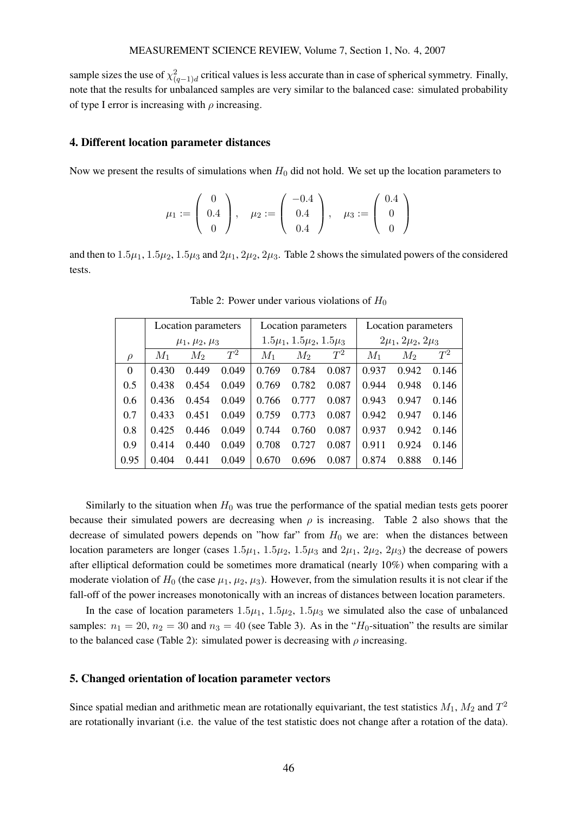sample sizes the use of  $\chi^2_{(q-1)d}$  critical values is less accurate than in case of spherical symmetry. Finally, note that the results for unbalanced samples are very similar to the balanced case: simulated probability of type I error is increasing with  $\rho$  increasing.

#### 4. Different location parameter distances

Now we present the results of simulations when  $H_0$  did not hold. We set up the location parameters to

$$
\mu_1 := \left( \begin{array}{c} 0 \\ 0.4 \\ 0 \end{array} \right), \quad \mu_2 := \left( \begin{array}{c} -0.4 \\ 0.4 \\ 0.4 \end{array} \right), \quad \mu_3 := \left( \begin{array}{c} 0.4 \\ 0 \\ 0 \end{array} \right)
$$

and then to  $1.5\mu_1$ ,  $1.5\mu_2$ ,  $1.5\mu_3$  and  $2\mu_1$ ,  $2\mu_2$ ,  $2\mu_3$ . Table 2 shows the simulated powers of the considered tests.

|          | Location parameters   |       | Location parameters |                                      |       | Location parameters |                                |       |       |
|----------|-----------------------|-------|---------------------|--------------------------------------|-------|---------------------|--------------------------------|-------|-------|
|          | $\mu_1, \mu_2, \mu_3$ |       |                     | $1.5\mu_1$ , $1.5\mu_2$ , $1.5\mu_3$ |       |                     | $2\mu_1$ , $2\mu_2$ , $2\mu_3$ |       |       |
| $\rho$   | $M_1$                 | $M_2$ | $T^2$               | $M_1$                                | $M_2$ | $T^2$               | $M_1$                          | $M_2$ | $T^2$ |
| $\Omega$ | 0.430                 | 0.449 | 0.049               | 0.769                                | 0.784 | 0.087               | 0.937                          | 0.942 | 0.146 |
| 0.5      | 0.438                 | 0.454 | 0.049               | 0.769                                | 0.782 | 0.087               | 0.944                          | 0.948 | 0.146 |
| 0.6      | 0.436                 | 0.454 | 0.049               | 0.766                                | 0.777 | 0.087               | 0.943                          | 0.947 | 0.146 |
| 0.7      | 0.433                 | 0.451 | 0.049               | 0.759                                | 0.773 | 0.087               | 0.942                          | 0.947 | 0.146 |
| 0.8      | 0.425                 | 0.446 | 0.049               | 0.744                                | 0.760 | 0.087               | 0.937                          | 0.942 | 0.146 |
| 0.9      | 0.414                 | 0.440 | 0.049               | 0.708                                | 0.727 | 0.087               | 0.911                          | 0.924 | 0.146 |
| 0.95     | 0.404                 | 0.441 | 0.049               | 0.670                                | 0.696 | 0.087               | 0.874                          | 0.888 | 0.146 |

Table 2: Power under various violations of  $H_0$ 

Similarly to the situation when  $H_0$  was true the performance of the spatial median tests gets poorer because their simulated powers are decreasing when  $\rho$  is increasing. Table 2 also shows that the decrease of simulated powers depends on "how far" from  $H_0$  we are: when the distances between location parameters are longer (cases  $1.5\mu_1$ ,  $1.5\mu_2$ ,  $1.5\mu_3$  and  $2\mu_1$ ,  $2\mu_2$ ,  $2\mu_3$ ) the decrease of powers after elliptical deformation could be sometimes more dramatical (nearly 10%) when comparing with a moderate violation of  $H_0$  (the case  $\mu_1, \mu_2, \mu_3$ ). However, from the simulation results it is not clear if the fall-off of the power increases monotonically with an increas of distances between location parameters.

In the case of location parameters  $1.5\mu_1$ ,  $1.5\mu_2$ ,  $1.5\mu_3$  we simulated also the case of unbalanced samples:  $n_1 = 20$ ,  $n_2 = 30$  and  $n_3 = 40$  (see Table 3). As in the "H<sub>0</sub>-situation" the results are similar to the balanced case (Table 2): simulated power is decreasing with  $\rho$  increasing.

#### 5. Changed orientation of location parameter vectors

Since spatial median and arithmetic mean are rotationally equivariant, the test statistics  $M_1$ ,  $M_2$  and  $T^2$ are rotationally invariant (i.e. the value of the test statistic does not change after a rotation of the data).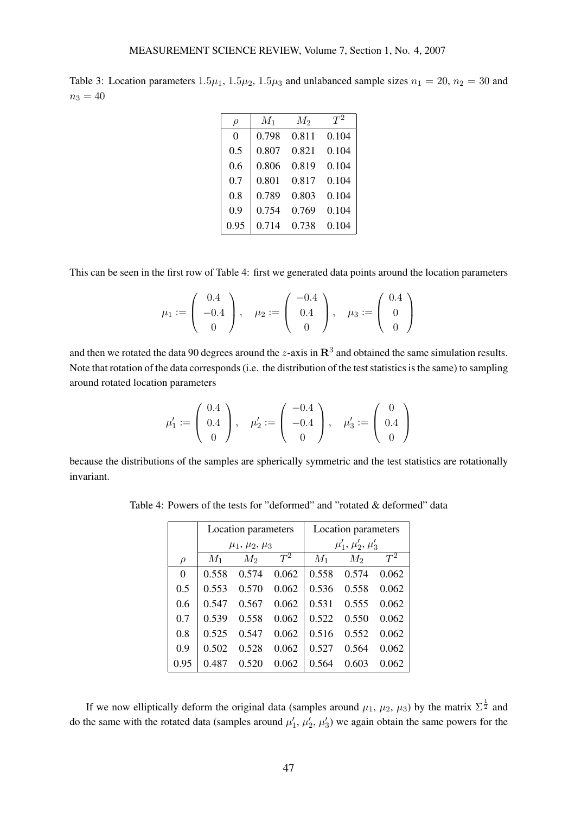| Table 3: Location parameters $1.5\mu_1$ , $1.5\mu_2$ , $1.5\mu_3$ and unlabanced sample sizes $n_1 = 20$ , $n_2 = 30$ and |  |  |  |
|---------------------------------------------------------------------------------------------------------------------------|--|--|--|
| $n_3 = 40$                                                                                                                |  |  |  |

| $\rho$   | $M_1$ | $M_2$ | $T^2$ |
|----------|-------|-------|-------|
| $\Omega$ | 0.798 | 0.811 | 0.104 |
| 0.5      | 0.807 | 0.821 | 0.104 |
| 0.6      | 0.806 | 0.819 | 0.104 |
| 0.7      | 0.801 | 0.817 | 0.104 |
| 0.8      | 0.789 | 0.803 | 0.104 |
| 0.9      | 0.754 | 0.769 | 0.104 |
| 0.95     | 0.714 | 0.738 | 0.104 |

This can be seen in the first row of Table 4: first we generated data points around the location parameters

$$
\mu_1 := \left( \begin{array}{c} 0.4 \\ -0.4 \\ 0 \end{array} \right), \quad \mu_2 := \left( \begin{array}{c} -0.4 \\ 0.4 \\ 0 \end{array} \right), \quad \mu_3 := \left( \begin{array}{c} 0.4 \\ 0 \\ 0 \end{array} \right)
$$

and then we rotated the data 90 degrees around the *z*-axis in  $\mathbb{R}^3$  and obtained the same simulation results. Note that rotation of the data corresponds (i.e. the distribution of the test statistics is the same) to sampling around rotated location parameters

$$
\mu_1' := \left( \begin{array}{c} 0.4 \\ 0.4 \\ 0 \end{array} \right), \quad \mu_2' := \left( \begin{array}{c} -0.4 \\ -0.4 \\ 0 \end{array} \right), \quad \mu_3' := \left( \begin{array}{c} 0 \\ 0.4 \\ 0 \end{array} \right)
$$

because the distributions of the samples are spherically symmetric and the test statistics are rotationally invariant.

|          |       | Location parameters   |       | Location parameters      |       |       |  |
|----------|-------|-----------------------|-------|--------------------------|-------|-------|--|
|          |       | $\mu_1, \mu_2, \mu_3$ |       | $\mu'_1, \mu'_2, \mu'_3$ |       |       |  |
| $\rho$   | $M_1$ | $M_2$                 | $T^2$ | $M_1$                    | $M_2$ | $T^2$ |  |
| $\Omega$ | 0.558 | 0.574                 | 0.062 | 0.558                    | 0.574 | 0.062 |  |
| 0.5      | 0.553 | 0.570                 | 0.062 | 0.536                    | 0.558 | 0.062 |  |
| 0.6      | 0.547 | 0.567                 | 0.062 | 0.531                    | 0.555 | 0.062 |  |
| 0.7      | 0.539 | 0.558                 | 0.062 | 0.522                    | 0.550 | 0.062 |  |
| 0.8      | 0.525 | 0.547                 | 0.062 | 0.516                    | 0.552 | 0.062 |  |
| 0.9      | 0.502 | 0.528                 | 0.062 | 0.527                    | 0.564 | 0.062 |  |
| 0.95     | 0.487 | 0.520                 | 0.062 | 0.564                    | 0.603 | 0.062 |  |

Table 4: Powers of the tests for "deformed" and "rotated & deformed" data

If we now elliptically deform the original data (samples around  $\mu_1$ ,  $\mu_2$ ,  $\mu_3$ ) by the matrix  $\Sigma^{\frac{1}{2}}$  and do the same with the rotated data (samples around  $\mu'_1$ ,  $\mu'_2$ ,  $\mu'_3$ ) we again obtain the same powers for the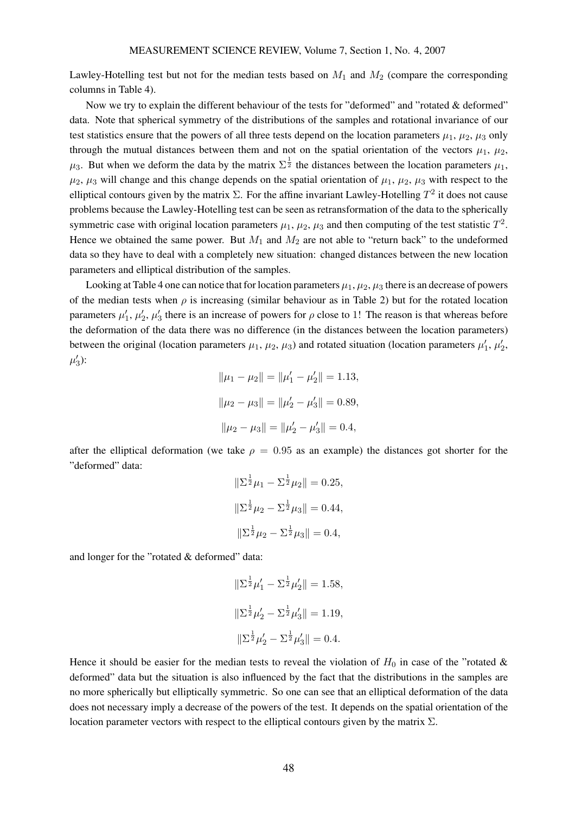Lawley-Hotelling test but not for the median tests based on  $M_1$  and  $M_2$  (compare the corresponding columns in Table 4).

Now we try to explain the different behaviour of the tests for "deformed" and "rotated & deformed" data. Note that spherical symmetry of the distributions of the samples and rotational invariance of our test statistics ensure that the powers of all three tests depend on the location parameters  $\mu_1$ ,  $\mu_2$ ,  $\mu_3$  only through the mutual distances between them and not on the spatial orientation of the vectors  $\mu_1$ ,  $\mu_2$ ,  $\mu_3$ . But when we deform the data by the matrix  $\Sigma^{\frac{1}{2}}$  the distances between the location parameters  $\mu_1$ ,  $\mu_2$ ,  $\mu_3$  will change and this change depends on the spatial orientation of  $\mu_1$ ,  $\mu_2$ ,  $\mu_3$  with respect to the elliptical contours given by the matrix  $\Sigma$ . For the affine invariant Lawley-Hotelling  $T^2$  it does not cause problems because the Lawley-Hotelling test can be seen as retransformation of the data to the spherically symmetric case with original location parameters  $\mu_1$ ,  $\mu_2$ ,  $\mu_3$  and then computing of the test statistic  $T^2$ . Hence we obtained the same power. But  $M_1$  and  $M_2$  are not able to "return back" to the undeformed data so they have to deal with a completely new situation: changed distances between the new location parameters and elliptical distribution of the samples.

Looking at Table 4 one can notice that for location parameters  $\mu_1, \mu_2, \mu_3$  there is an decrease of powers of the median tests when  $\rho$  is increasing (similar behaviour as in Table 2) but for the rotated location parameters  $\mu'_1$ ,  $\mu'_2$ ,  $\mu'_3$  there is an increase of powers for  $\rho$  close to 1! The reason is that whereas before the deformation of the data there was no difference (in the distances between the location parameters) between the original (location parameters  $\mu_1$ ,  $\mu_2$ ,  $\mu_3$ ) and rotated situation (location parameters  $\mu'_1$ ,  $\mu'_2$ ,  $\mu'_{3}$ ):

$$
\|\mu_1 - \mu_2\| = \|\mu'_1 - \mu'_2\| = 1.13,
$$
  

$$
\|\mu_2 - \mu_3\| = \|\mu'_2 - \mu'_3\| = 0.89,
$$
  

$$
\|\mu_2 - \mu_3\| = \|\mu'_2 - \mu'_3\| = 0.4,
$$

after the elliptical deformation (we take  $\rho = 0.95$  as an example) the distances got shorter for the "deformed" data:

$$
\|\Sigma^{\frac{1}{2}}\mu_1 - \Sigma^{\frac{1}{2}}\mu_2\| = 0.25,
$$
  

$$
\|\Sigma^{\frac{1}{2}}\mu_2 - \Sigma^{\frac{1}{2}}\mu_3\| = 0.44,
$$
  

$$
\|\Sigma^{\frac{1}{2}}\mu_2 - \Sigma^{\frac{1}{2}}\mu_3\| = 0.4,
$$

and longer for the "rotated & deformed" data:

$$
\|\Sigma^{\frac{1}{2}}\mu'_1 - \Sigma^{\frac{1}{2}}\mu'_2\| = 1.58,
$$
  

$$
\|\Sigma^{\frac{1}{2}}\mu'_2 - \Sigma^{\frac{1}{2}}\mu'_3\| = 1.19,
$$
  

$$
\|\Sigma^{\frac{1}{2}}\mu'_2 - \Sigma^{\frac{1}{2}}\mu'_3\| = 0.4.
$$

Hence it should be easier for the median tests to reveal the violation of  $H_0$  in case of the "rotated & deformed" data but the situation is also influenced by the fact that the distributions in the samples are no more spherically but elliptically symmetric. So one can see that an elliptical deformation of the data does not necessary imply a decrease of the powers of the test. It depends on the spatial orientation of the location parameter vectors with respect to the elliptical contours given by the matrix  $Σ$ .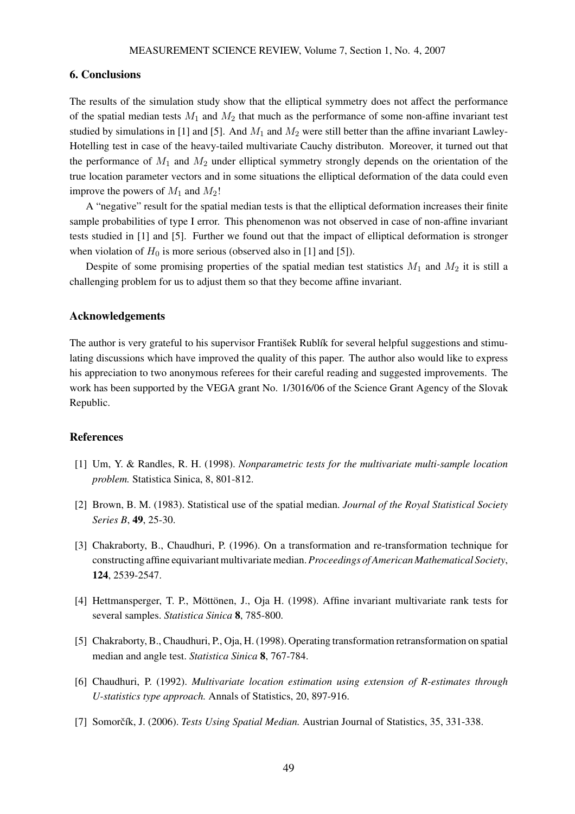## 6. Conclusions

The results of the simulation study show that the elliptical symmetry does not affect the performance of the spatial median tests  $M_1$  and  $M_2$  that much as the performance of some non-affine invariant test studied by simulations in [1] and [5]. And  $M_1$  and  $M_2$  were still better than the affine invariant Lawley-Hotelling test in case of the heavy-tailed multivariate Cauchy distributon. Moreover, it turned out that the performance of  $M_1$  and  $M_2$  under elliptical symmetry strongly depends on the orientation of the true location parameter vectors and in some situations the elliptical deformation of the data could even improve the powers of  $M_1$  and  $M_2$ !

A "negative" result for the spatial median tests is that the elliptical deformation increases their finite sample probabilities of type I error. This phenomenon was not observed in case of non-affine invariant tests studied in [1] and [5]. Further we found out that the impact of elliptical deformation is stronger when violation of  $H_0$  is more serious (observed also in [1] and [5]).

Despite of some promising properties of the spatial median test statistics  $M_1$  and  $M_2$  it is still a challenging problem for us to adjust them so that they become affine invariant.

### Acknowledgements

The author is very grateful to his supervisor František Rublík for several helpful suggestions and stimulating discussions which have improved the quality of this paper. The author also would like to express his appreciation to two anonymous referees for their careful reading and suggested improvements. The work has been supported by the VEGA grant No. 1/3016/06 of the Science Grant Agency of the Slovak Republic.

#### References

- [1] Um, Y. & Randles, R. H. (1998). *Nonparametric tests for the multivariate multi-sample location problem.* Statistica Sinica, 8, 801-812.
- [2] Brown, B. M. (1983). Statistical use of the spatial median. *Journal of the Royal Statistical Society Series B*, 49, 25-30.
- [3] Chakraborty, B., Chaudhuri, P. (1996). On a transformation and re-transformation technique for constructing affine equivariant multivariate median.*Proceedings of American Mathematical Society*, 124, 2539-2547.
- [4] Hettmansperger, T. P., Möttönen, J., Oja H. (1998). Affine invariant multivariate rank tests for several samples. *Statistica Sinica* 8, 785-800.
- [5] Chakraborty, B., Chaudhuri, P., Oja, H. (1998). Operating transformation retransformation on spatial median and angle test. *Statistica Sinica* 8, 767-784.
- [6] Chaudhuri, P. (1992). *Multivariate location estimation using extension of R-estimates through U-statistics type approach.* Annals of Statistics, 20, 897-916.
- [7] Somorčík, J. (2006). *Tests Using Spatial Median*. Austrian Journal of Statistics, 35, 331-338.